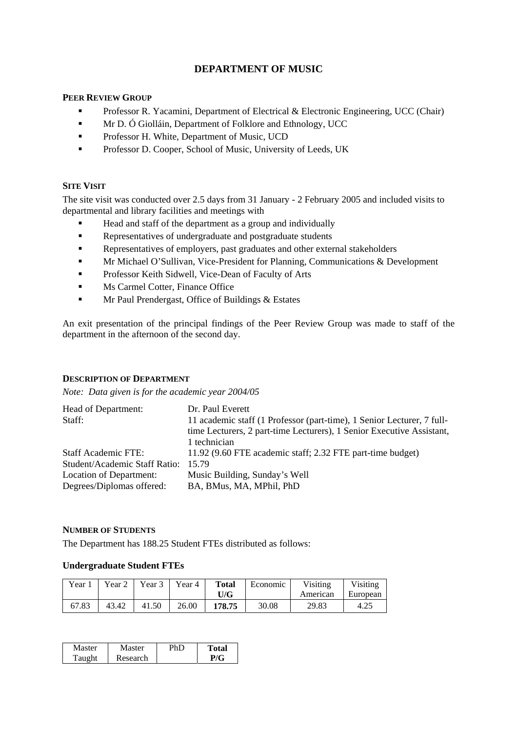# **DEPARTMENT OF MUSIC**

## **PEER REVIEW GROUP**

- **Professor R. Yacamini, Department of Electrical & Electronic Engineering, UCC (Chair)**
- **Mr D. Ó Giolláin, Department of Folklore and Ethnology, UCC**
- **Professor H. White, Department of Music, UCD**
- **Professor D. Cooper, School of Music, University of Leeds, UK**

### **SITE VISIT**

The site visit was conducted over 2.5 days from 31 January - 2 February 2005 and included visits to departmental and library facilities and meetings with

- Head and staff of the department as a group and individually
- Representatives of undergraduate and postgraduate students
- Representatives of employers, past graduates and other external stakeholders
- **Mr Michael O'Sullivan, Vice-President for Planning, Communications & Development**
- **Professor Keith Sidwell, Vice-Dean of Faculty of Arts**
- **Ms Carmel Cotter, Finance Office**
- **Mr Paul Prendergast, Office of Buildings & Estates**

An exit presentation of the principal findings of the Peer Review Group was made to staff of the department in the afternoon of the second day.

### **DESCRIPTION OF DEPARTMENT**

*Note: Data given is for the academic year 2004/05* 

| Head of Department:           | Dr. Paul Everett                                                       |
|-------------------------------|------------------------------------------------------------------------|
| Staff:                        | 11 academic staff (1 Professor (part-time), 1 Senior Lecturer, 7 full- |
|                               | time Lecturers, 2 part-time Lecturers), 1 Senior Executive Assistant,  |
|                               | 1 technician                                                           |
| <b>Staff Academic FTE:</b>    | 11.92 (9.60 FTE academic staff; 2.32 FTE part-time budget)             |
| Student/Academic Staff Ratio: | 15.79                                                                  |
| Location of Department:       | Music Building, Sunday's Well                                          |
| Degrees/Diplomas offered:     | BA, BMus, MA, MPhil, PhD                                               |

### **NUMBER OF STUDENTS**

The Department has 188.25 Student FTEs distributed as follows:

## **Undergraduate Student FTEs**

| Year $_1$ | Year 2 | Year 3 | Year 4 | <b>Total</b><br>U/G | Economic | Visiting<br>American | Visiting<br>European |
|-----------|--------|--------|--------|---------------------|----------|----------------------|----------------------|
| 67.83     | 43.42  | 41.50  | 26.00  | 178.75              | 30.08    | 29.83                | 4.25                 |

| <b>Master</b> | Master   | ™otal |
|---------------|----------|-------|
| ᠇᠇<br>`anoht  | Research |       |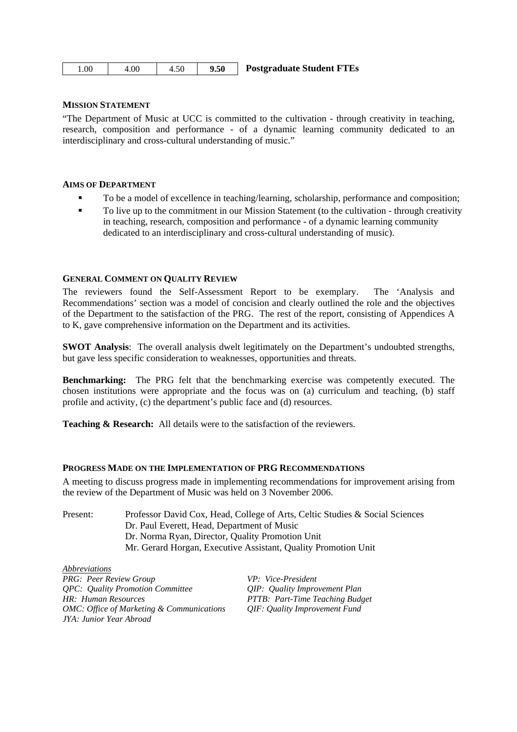| . 00 | 4.00 | 4.50 | 9.50 | <b>Postgraduate Student FTEs</b> |
|------|------|------|------|----------------------------------|
|------|------|------|------|----------------------------------|

#### **MISSION STATEMENT**

"The Department of Music at UCC is committed to the cultivation - through creativity in teaching, research, composition and performance - of a dynamic learning community dedicated to an interdisciplinary and cross-cultural understanding of music."

#### **AIMS OF DEPARTMENT**

- To be a model of excellence in teaching/learning, scholarship, performance and composition;
- To live up to the commitment in our Mission Statement (to the cultivation through creativity in teaching, research, composition and performance - of a dynamic learning community dedicated to an interdisciplinary and cross-cultural understanding of music).

#### **GENERAL COMMENT ON QUALITY REVIEW**

The reviewers found the Self-Assessment Report to be exemplary. The 'Analysis and Recommendations' section was a model of concision and clearly outlined the role and the objectives of the Department to the satisfaction of the PRG. The rest of the report, consisting of Appendices A to K, gave comprehensive information on the Department and its activities.

**SWOT Analysis**: The overall analysis dwelt legitimately on the Department's undoubted strengths, but gave less specific consideration to weaknesses, opportunities and threats.

**Benchmarking:** The PRG felt that the benchmarking exercise was competently executed. The chosen institutions were appropriate and the focus was on (a) curriculum and teaching, (b) staff profile and activity, (c) the department's public face and (d) resources.

**Teaching & Research:** All details were to the satisfaction of the reviewers.

#### **PROGRESS MADE ON THE IMPLEMENTATION OF PRG RECOMMENDATIONS**

A meeting to discuss progress made in implementing recommendations for improvement arising from the review of the Department of Music was held on 3 November 2006.

| Present: | Professor David Cox, Head, College of Arts, Celtic Studies & Social Sciences |
|----------|------------------------------------------------------------------------------|
|          | Dr. Paul Everett, Head, Department of Music                                  |
|          | Dr. Norma Ryan, Director, Quality Promotion Unit                             |
|          | Mr. Gerard Horgan, Executive Assistant, Quality Promotion Unit               |

*Abbreviations PRG: Peer Review Group VP: Vice-President QPC: Quality Promotion Committee QIP: Quality Improvement Plan HR: Human Resources PTTB: Part-Time Teaching Budget OMC: Office of Marketing & Communications QIF: Quality Improvement Fund JYA: Junior Year Abroad*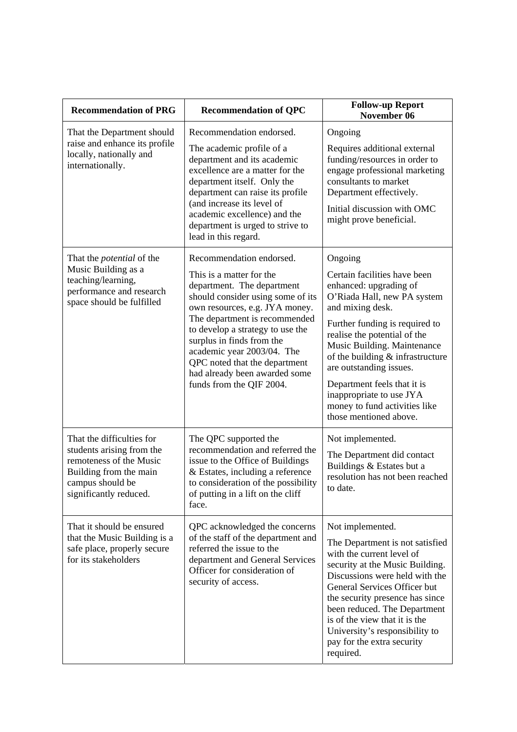| <b>Recommendation of PRG</b>                                                                                                                              | <b>Recommendation of QPC</b>                                                                                                                                                                                                                                                                                                                                                            | <b>Follow-up Report</b><br>November 06                                                                                                                                                                                                                                                                                                                                                                       |
|-----------------------------------------------------------------------------------------------------------------------------------------------------------|-----------------------------------------------------------------------------------------------------------------------------------------------------------------------------------------------------------------------------------------------------------------------------------------------------------------------------------------------------------------------------------------|--------------------------------------------------------------------------------------------------------------------------------------------------------------------------------------------------------------------------------------------------------------------------------------------------------------------------------------------------------------------------------------------------------------|
| That the Department should<br>raise and enhance its profile<br>locally, nationally and<br>internationally.                                                | Recommendation endorsed.<br>The academic profile of a<br>department and its academic<br>excellence are a matter for the<br>department itself. Only the<br>department can raise its profile<br>(and increase its level of<br>academic excellence) and the<br>department is urged to strive to<br>lead in this regard.                                                                    | Ongoing<br>Requires additional external<br>funding/resources in order to<br>engage professional marketing<br>consultants to market<br>Department effectively.<br>Initial discussion with OMC<br>might prove beneficial.                                                                                                                                                                                      |
| That the <i>potential</i> of the<br>Music Building as a<br>teaching/learning,<br>performance and research<br>space should be fulfilled                    | Recommendation endorsed.<br>This is a matter for the<br>department. The department<br>should consider using some of its<br>own resources, e.g. JYA money.<br>The department is recommended<br>to develop a strategy to use the<br>surplus in finds from the<br>academic year 2003/04. The<br>QPC noted that the department<br>had already been awarded some<br>funds from the QIF 2004. | Ongoing<br>Certain facilities have been<br>enhanced: upgrading of<br>O'Riada Hall, new PA system<br>and mixing desk.<br>Further funding is required to<br>realise the potential of the<br>Music Building. Maintenance<br>of the building $&$ infrastructure<br>are outstanding issues.<br>Department feels that it is<br>inappropriate to use JYA<br>money to fund activities like<br>those mentioned above. |
| That the difficulties for<br>students arising from the<br>remoteness of the Music<br>Building from the main<br>campus should be<br>significantly reduced. | The QPC supported the<br>recommendation and referred the<br>issue to the Office of Buildings<br>& Estates, including a reference<br>to consideration of the possibility<br>of putting in a lift on the cliff<br>face.                                                                                                                                                                   | Not implemented.<br>The Department did contact<br>Buildings & Estates but a<br>resolution has not been reached<br>to date.                                                                                                                                                                                                                                                                                   |
| That it should be ensured<br>that the Music Building is a<br>safe place, properly secure<br>for its stakeholders                                          | QPC acknowledged the concerns<br>of the staff of the department and<br>referred the issue to the<br>department and General Services<br>Officer for consideration of<br>security of access.                                                                                                                                                                                              | Not implemented.<br>The Department is not satisfied<br>with the current level of<br>security at the Music Building.<br>Discussions were held with the<br>General Services Officer but<br>the security presence has since<br>been reduced. The Department<br>is of the view that it is the<br>University's responsibility to<br>pay for the extra security<br>required.                                       |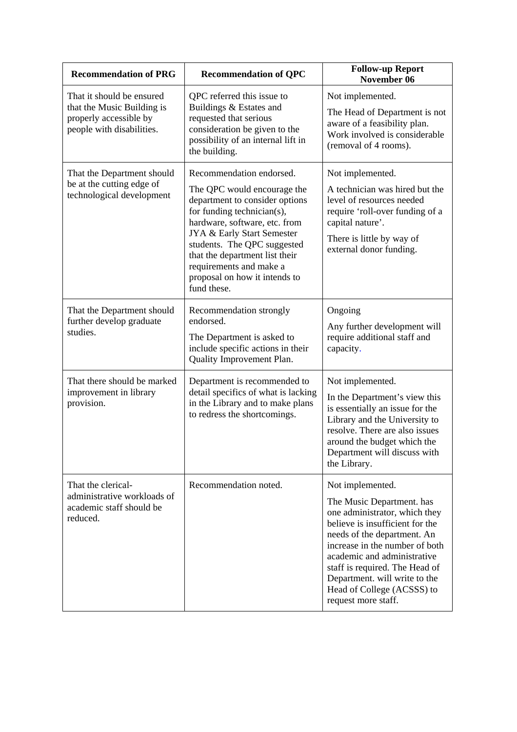| <b>Recommendation of PRG</b>                                                                                   | <b>Recommendation of QPC</b>                                                                                                                                                                                                                                                                                                       | <b>Follow-up Report</b><br>November 06                                                                                                                                                                                                                                                                                                    |
|----------------------------------------------------------------------------------------------------------------|------------------------------------------------------------------------------------------------------------------------------------------------------------------------------------------------------------------------------------------------------------------------------------------------------------------------------------|-------------------------------------------------------------------------------------------------------------------------------------------------------------------------------------------------------------------------------------------------------------------------------------------------------------------------------------------|
| That it should be ensured<br>that the Music Building is<br>properly accessible by<br>people with disabilities. | QPC referred this issue to<br>Buildings & Estates and<br>requested that serious<br>consideration be given to the<br>possibility of an internal lift in<br>the building.                                                                                                                                                            | Not implemented.<br>The Head of Department is not<br>aware of a feasibility plan.<br>Work involved is considerable<br>(removal of 4 rooms).                                                                                                                                                                                               |
| That the Department should<br>be at the cutting edge of<br>technological development                           | Recommendation endorsed.<br>The QPC would encourage the<br>department to consider options<br>for funding technician(s),<br>hardware, software, etc. from<br>JYA & Early Start Semester<br>students. The QPC suggested<br>that the department list their<br>requirements and make a<br>proposal on how it intends to<br>fund these. | Not implemented.<br>A technician was hired but the<br>level of resources needed<br>require 'roll-over funding of a<br>capital nature'.<br>There is little by way of<br>external donor funding.                                                                                                                                            |
| That the Department should<br>further develop graduate<br>studies.                                             | Recommendation strongly<br>endorsed.<br>The Department is asked to<br>include specific actions in their<br>Quality Improvement Plan.                                                                                                                                                                                               | Ongoing<br>Any further development will<br>require additional staff and<br>capacity.                                                                                                                                                                                                                                                      |
| That there should be marked<br>improvement in library<br>provision.                                            | Department is recommended to<br>detail specifics of what is lacking<br>in the Library and to make plans<br>to redress the shortcomings.                                                                                                                                                                                            | Not implemented.<br>In the Department's view this<br>is essentially an issue for the<br>Library and the University to<br>resolve. There are also issues<br>around the budget which the<br>Department will discuss with<br>the Library.                                                                                                    |
| That the clerical-<br>administrative workloads of<br>academic staff should be<br>reduced.                      | Recommendation noted.                                                                                                                                                                                                                                                                                                              | Not implemented.<br>The Music Department. has<br>one administrator, which they<br>believe is insufficient for the<br>needs of the department. An<br>increase in the number of both<br>academic and administrative<br>staff is required. The Head of<br>Department. will write to the<br>Head of College (ACSSS) to<br>request more staff. |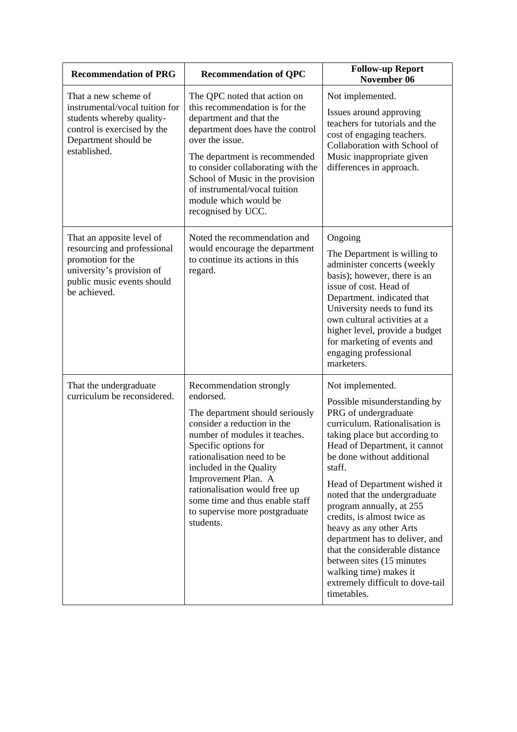| <b>Recommendation of PRG</b>                                                                                                                               | <b>Recommendation of QPC</b>                                                                                                                                                                                                                                                                                                                                       | <b>Follow-up Report</b><br>November 06                                                                                                                                                                                                                                                                                                                                                                                                                                                                                                                   |
|------------------------------------------------------------------------------------------------------------------------------------------------------------|--------------------------------------------------------------------------------------------------------------------------------------------------------------------------------------------------------------------------------------------------------------------------------------------------------------------------------------------------------------------|----------------------------------------------------------------------------------------------------------------------------------------------------------------------------------------------------------------------------------------------------------------------------------------------------------------------------------------------------------------------------------------------------------------------------------------------------------------------------------------------------------------------------------------------------------|
| That a new scheme of<br>instrumental/vocal tuition for<br>students whereby quality-<br>control is exercised by the<br>Department should be<br>established. | The QPC noted that action on<br>this recommendation is for the<br>department and that the<br>department does have the control<br>over the issue.<br>The department is recommended<br>to consider collaborating with the<br>School of Music in the provision<br>of instrumental/vocal tuition<br>module which would be<br>recognised by UCC.                        | Not implemented.<br>Issues around approving<br>teachers for tutorials and the<br>cost of engaging teachers.<br>Collaboration with School of<br>Music inappropriate given<br>differences in approach.                                                                                                                                                                                                                                                                                                                                                     |
| That an apposite level of<br>resourcing and professional<br>promotion for the<br>university's provision of<br>public music events should<br>be achieved.   | Noted the recommendation and<br>would encourage the department<br>to continue its actions in this<br>regard.                                                                                                                                                                                                                                                       | Ongoing<br>The Department is willing to<br>administer concerts (weekly<br>basis); however, there is an<br>issue of cost. Head of<br>Department. indicated that<br>University needs to fund its<br>own cultural activities at a<br>higher level, provide a budget<br>for marketing of events and<br>engaging professional<br>marketers.                                                                                                                                                                                                                   |
| That the undergraduate<br>curriculum be reconsidered.                                                                                                      | Recommendation strongly<br>endorsed.<br>The department should seriously<br>consider a reduction in the<br>number of modules it teaches.<br>Specific options for<br>rationalisation need to be<br>included in the Quality<br>Improvement Plan. A<br>rationalisation would free up<br>some time and thus enable staff<br>to supervise more postgraduate<br>students. | Not implemented.<br>Possible misunderstanding by<br>PRG of undergraduate<br>curriculum. Rationalisation is<br>taking place but according to<br>Head of Department, it cannot<br>be done without additional<br>staff.<br>Head of Department wished it<br>noted that the undergraduate<br>program annually, at 255<br>credits, is almost twice as<br>heavy as any other Arts<br>department has to deliver, and<br>that the considerable distance<br>between sites (15 minutes<br>walking time) makes it<br>extremely difficult to dove-tail<br>timetables. |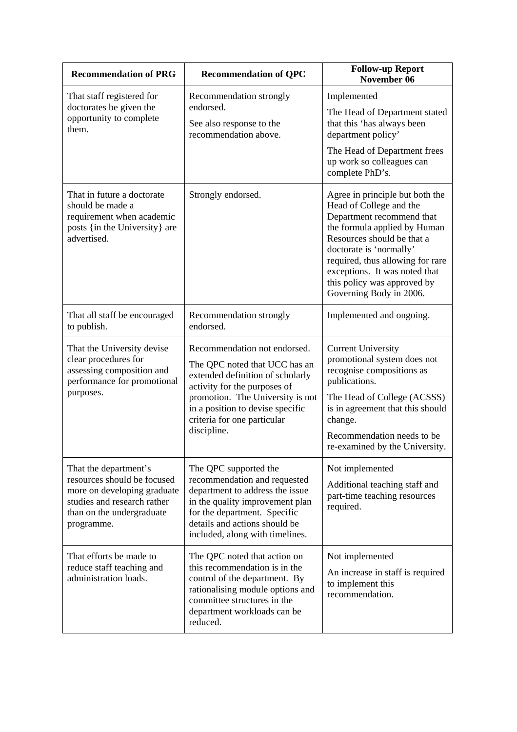| <b>Recommendation of PRG</b>                                                                                                                                  | <b>Recommendation of QPC</b>                                                                                                                                                                                                                            | <b>Follow-up Report</b><br>November 06                                                                                                                                                                                                                                                                          |
|---------------------------------------------------------------------------------------------------------------------------------------------------------------|---------------------------------------------------------------------------------------------------------------------------------------------------------------------------------------------------------------------------------------------------------|-----------------------------------------------------------------------------------------------------------------------------------------------------------------------------------------------------------------------------------------------------------------------------------------------------------------|
| That staff registered for<br>doctorates be given the<br>opportunity to complete<br>them.                                                                      | Recommendation strongly<br>endorsed.<br>See also response to the<br>recommendation above.                                                                                                                                                               | Implemented<br>The Head of Department stated<br>that this 'has always been<br>department policy'<br>The Head of Department frees<br>up work so colleagues can<br>complete PhD's.                                                                                                                                |
| That in future a doctorate<br>should be made a<br>requirement when academic<br>posts {in the University} are<br>advertised.                                   | Strongly endorsed.                                                                                                                                                                                                                                      | Agree in principle but both the<br>Head of College and the<br>Department recommend that<br>the formula applied by Human<br>Resources should be that a<br>doctorate is 'normally'<br>required, thus allowing for rare<br>exceptions. It was noted that<br>this policy was approved by<br>Governing Body in 2006. |
| That all staff be encouraged<br>to publish.                                                                                                                   | Recommendation strongly<br>endorsed.                                                                                                                                                                                                                    | Implemented and ongoing.                                                                                                                                                                                                                                                                                        |
| That the University devise<br>clear procedures for<br>assessing composition and<br>performance for promotional<br>purposes.                                   | Recommendation not endorsed.<br>The QPC noted that UCC has an<br>extended definition of scholarly<br>activity for the purposes of<br>promotion. The University is not<br>in a position to devise specific<br>criteria for one particular<br>discipline. | <b>Current University</b><br>promotional system does not<br>recognise compositions as<br>publications.<br>The Head of College (ACSSS)<br>is in agreement that this should<br>change.<br>Recommendation needs to be<br>re-examined by the University.                                                            |
| That the department's<br>resources should be focused<br>more on developing graduate<br>studies and research rather<br>than on the undergraduate<br>programme. | The QPC supported the<br>recommendation and requested<br>department to address the issue<br>in the quality improvement plan<br>for the department. Specific<br>details and actions should be<br>included, along with timelines.                         | Not implemented<br>Additional teaching staff and<br>part-time teaching resources<br>required.                                                                                                                                                                                                                   |
| That efforts be made to<br>reduce staff teaching and<br>administration loads.                                                                                 | The QPC noted that action on<br>this recommendation is in the<br>control of the department. By<br>rationalising module options and<br>committee structures in the<br>department workloads can be<br>reduced.                                            | Not implemented<br>An increase in staff is required<br>to implement this<br>recommendation.                                                                                                                                                                                                                     |